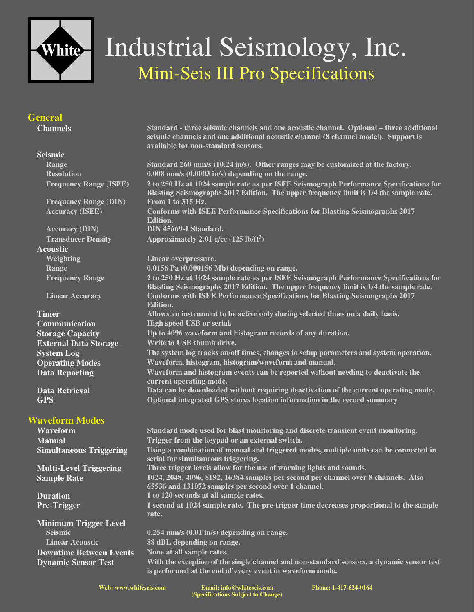

# Industrial Seismology, Inc. Mini-Seis III Pro Specifications

## **General**

### **Seismic**

Frequency Range (DIN) From 1 to 315 Hz.

**Acoustic** 

### **Waveform Modes**

**Minimum Trigger Level** 

**Channels Standard - three seismic channels and one acoustic channel. Optional – three additional seismic channels and one additional acoustic channel (8 channel model). Support is available for non-standard sensors.** 

 **Range Standard 260 mm/s (10.24 in/s). Other ranges may be customized at the factory. Resolution 0.008 mm/s (0.0003 in/s) depending on the range. Frequency Range (ISEE) 2 to 250 Hz at 1024 sample rate as per ISEE Seismograph Performance Specifications for Blasting Seismographs 2017 Edition. The upper frequency limit is 1/4 the sample rate. Accuracy (ISEE) Conforms with ISEE Performance Specifications for Blasting Seismographs 2017 Edition. Accuracy (DIN) DIN 45669-1 Standard. Transducer Density Approximately 2.01 g/cc (125 lb/ft<sup>3</sup>) Weighting Linear overpressure. Range 0.0156 Pa (0.000156 Mb) depending on range. Frequency Range 2 to 250 Hz at 1024 sample rate as per ISEE Seismograph Performance Specifications for Blasting Seismographs 2017 Edition. The upper frequency limit is 1/4 the sample rate. Linear Accuracy Conforms with ISEE Performance Specifications for Blasting Seismographs 2017 Edition. Timer Allows an instrument to be active only during selected times on a daily basis. Communication High speed USB or serial. Storage Capacity Up to 4096 waveform and histogram records of any duration. External Data Storage Write to USB thumb drive. System Log The system log tracks on/off times, changes to setup parameters and system operation. Operating Modes Waveform, histogram, histogram/waveform and manual. Data Reporting Waveform and histogram events can be reported without needing to deactivate the current operating mode. Data Retrieval Data can be downloaded without requiring deactivation of the current operating mode. GPS Optional integrated GPS stores location information in the record summary** 

**Waveform Standard mode used for blast monitoring and discrete transient event monitoring. Manual Trigger from the keypad or an external switch. Simultaneous Triggering Using a combination of manual and triggered modes, multiple units can be connected in serial for simultaneous triggering. Multi-Level Triggering Three trigger levels allow for the use of warning lights and sounds. Sample Rate 1024, 2048, 4096, 8192, 16384 samples per second per channel over 8 channels. Also 65536 and 131072 samples per second over 1 channel. Duration 1 to 120 seconds at all sample rates. Pre-Trigger 1 second at 1024 sample rate. The pre-trigger time decreases proportional to the sample rate. Seismic 0.254 mm/s (0.01 in/s) depending on range. Linear Acoustic 88 dBL depending on range. Downtime Between Events** None at all sample rates. **Dynamic Sensor Test With the exception of the single channel and non-standard sensors, a dynamic sensor test** 

**is performed at the end of every event in waveform mode.**